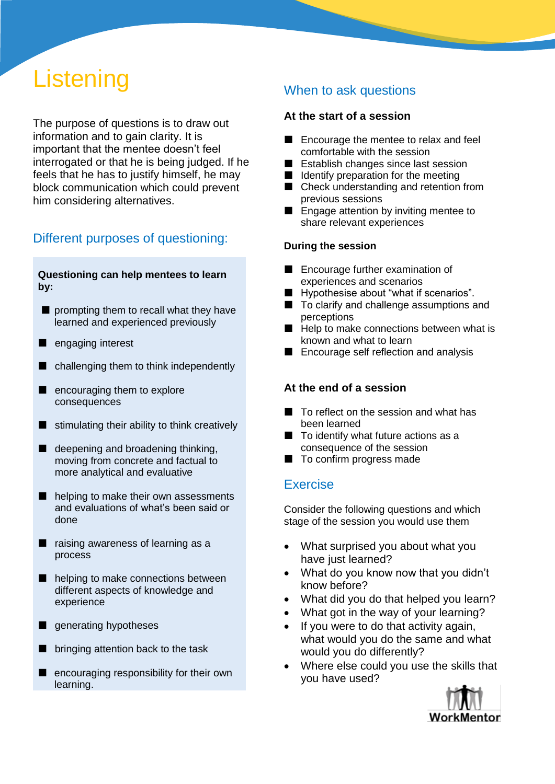# **Listening**

The purpose of questions is to draw out information and to gain clarity. It is important that the mentee doesn't feel interrogated or that he is being judged. If he feels that he has to justify himself, he may block communication which could prevent him considering alternatives.

# Different purposes of questioning:

#### **Questioning can help mentees to learn by:**

- **prompting them to recall what they have** learned and experienced previously
- engaging interest
- challenging them to think independently
- **E** encouraging them to explore consequences
- $\blacksquare$  stimulating their ability to think creatively
- $\blacksquare$  deepening and broadening thinking, moving from concrete and factual to more analytical and evaluative
- helping to make their own assessments and evaluations of what's been said or done
- $\blacksquare$  raising awareness of learning as a process
- helping to make connections between different aspects of knowledge and experience
- **generating hypotheses**
- $\blacksquare$  bringing attention back to the task
- **E** encouraging responsibility for their own learning.

### When to ask questions

#### **At the start of a session**

- Encourage the mentee to relax and feel comfortable with the session
- Establish changes since last session
- $\blacksquare$  Identify preparation for the meeting
- Check understanding and retention from previous sessions
- **E** Engage attention by inviting mentee to share relevant experiences

#### **During the session**

- Encourage further examination of experiences and scenarios
- **Hypothesise about "what if scenarios".**
- $\blacksquare$  To clarify and challenge assumptions and perceptions
- $\blacksquare$  Help to make connections between what is known and what to learn
- Encourage self reflection and analysis

#### **At the end of a session**

- To reflect on the session and what has been learned
- $\blacksquare$  To identify what future actions as a consequence of the session
- To confirm progress made

#### Exercise

Consider the following questions and which stage of the session you would use them

- What surprised you about what you have just learned?
- What do you know now that you didn't know before?
- What did you do that helped you learn?
- What got in the way of your learning?
- If you were to do that activity again, what would you do the same and what would you do differently?
- Where else could you use the skills that you have used?